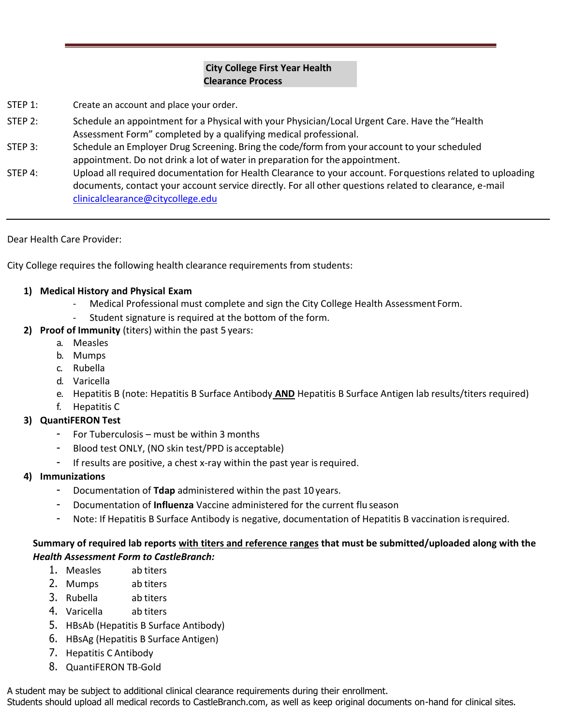## **City College First Year Health Clearance Process**

- STEP 1: Create an account and place your order.
- STEP 2: Schedule an appointment for a Physical with your Physician/Local Urgent Care. Have the "Health Assessment Form" completed by a qualifying medical professional.
- STEP 3: Schedule an Employer Drug Screening. Bring the code/form from your account to your scheduled appointment. Do not drink a lot of water in preparation for the appointment.
- STEP 4: Upload all required documentation for Health Clearance to your account. Forquestions related to uploading documents, contact your account service directly. For all other questions related to clearance, e-mail [clinicalclearance@citycollege.edu](mailto:clinicalclearance@citycollege.edu)

#### Dear Health Care Provider:

City College requires the following health clearance requirements from students:

### **1) Medical History and Physical Exam**

- Medical Professional must complete and sign the City College Health Assessment Form.
- Student signature is required at the bottom of the form.
- **2) Proof of Immunity** (titers) within the past 5 years:
	- a. Measles
	- b. Mumps
	- c. Rubella
	- d. Varicella
	- e. Hepatitis B (note: Hepatitis B Surface Antibody **AND** Hepatitis B Surface Antigen lab results/titers required)
	- f. Hepatitis C

# **3) QuantiFERON Test**

- For Tuberculosis must be within 3 months
- Blood test ONLY, (NO skin test/PPD is acceptable)
- If results are positive, a chest x-ray within the past year is required.
- **4) Immunizations**
	- Documentation of **Tdap** administered within the past 10 years.
	- Documentation of **Influenza** Vaccine administered for the current flu season
	- Note: If Hepatitis B Surface Antibody is negative, documentation of Hepatitis B vaccination isrequired.

# **Summary of required lab reports with titers and reference ranges that must be submitted/uploaded along with the** *Health Assessment Form to CastleBranch:*

- 1. Measles ab titers
- 2. Mumps ab titers
- 3. Rubella ab titers
- 4. Varicella ab titers
- 5. HBsAb (Hepatitis B Surface Antibody)
- 6. HBsAg (Hepatitis B Surface Antigen)
- 7. Hepatitis C Antibody
- 8. QuantiFERON TB-Gold

A student may be subject to additional clinical clearance requirements during their enrollment.

Students should upload all medical records to CastleBranch.com, as well as keep original documents on-hand for clinical sites.